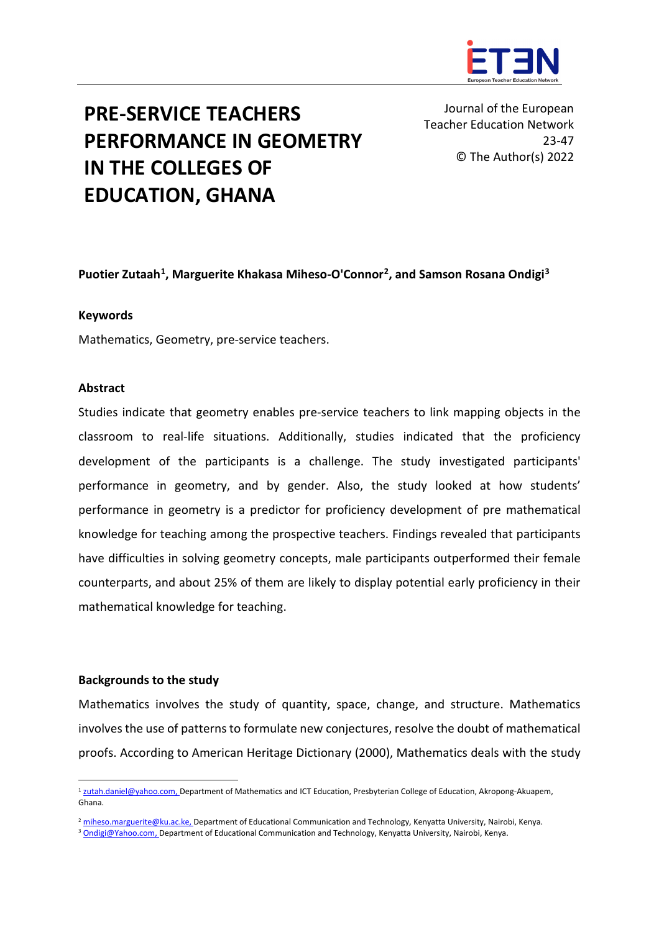

# **PRE-SERVICE TEACHERS PERFORMANCE IN GEOMETRY IN THE COLLEGES OF EDUCATION, GHANA**

Journal of the European Teacher Education Network 23-47 © The Author(s) 2022

### **Puotier Zutaah[1](#page-0-0), Marguerite Khakasa Miheso-O'Connor[2](#page-0-1), and Samson Rosana Ondigi[3](#page-0-2)**

### **Keywords**

Mathematics, Geometry, pre-service teachers.

### **Abstract**

Studies indicate that geometry enables pre-service teachers to link mapping objects in the classroom to real-life situations. Additionally, studies indicated that the proficiency development of the participants is a challenge. The study investigated participants' performance in geometry, and by gender. Also, the study looked at how students' performance in geometry is a predictor for proficiency development of pre mathematical knowledge for teaching among the prospective teachers. Findings revealed that participants have difficulties in solving geometry concepts, male participants outperformed their female counterparts, and about 25% of them are likely to display potential early proficiency in their mathematical knowledge for teaching.

### **Backgrounds to the study**

Mathematics involves the study of quantity, space, change, and structure. Mathematics involves the use of patterns to formulate new conjectures, resolve the doubt of mathematical proofs. According to American Heritage Dictionary (2000), Mathematics deals with the study

<span id="page-0-0"></span><sup>&</sup>lt;sup>1</sup> [zutah.daniel@yahoo.com,](mailto:zutah.daniel@yahoo.com) Department of Mathematics and ICT Education, Presbyterian College of Education, Akropong-Akuapem, Ghana.

<span id="page-0-1"></span><sup>&</sup>lt;sup>2</sup> [miheso.marguerite@ku.ac.ke,](mailto:miheso.marguerite@ku.ac.ke) Department of Educational Communication and Technology, Kenyatta University, Nairobi, Kenya.

<span id="page-0-2"></span><sup>&</sup>lt;sup>3</sup> [Ondigi@Yahoo.com,](mailto:Ondigi@Yahoo.com) Department of Educational Communication and Technology, Kenyatta University, Nairobi, Kenya.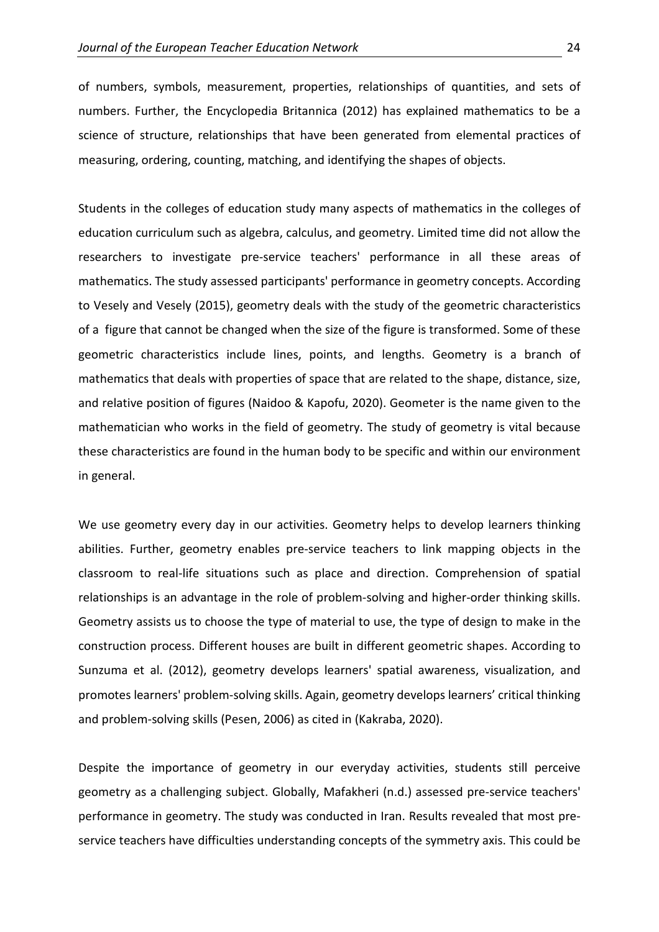of numbers, symbols, measurement, properties, relationships of quantities, and sets of numbers. Further, the Encyclopedia Britannica (2012) has explained mathematics to be a science of structure, relationships that have been generated from elemental practices of measuring, ordering, counting, matching, and identifying the shapes of objects.

Students in the colleges of education study many aspects of mathematics in the colleges of education curriculum such as algebra, calculus, and geometry. Limited time did not allow the researchers to investigate pre-service teachers' performance in all these areas of mathematics. The study assessed participants' performance in geometry concepts. According to Vesely and Vesely (2015), geometry deals with the study of the geometric characteristics of a figure that cannot be changed when the size of the figure is transformed. Some of these geometric characteristics include lines, points, and lengths. Geometry is a branch of mathematics that deals with properties of space that are related to the shape, distance, size, and relative position of figures (Naidoo & Kapofu, 2020). Geometer is the name given to the mathematician who works in the field of geometry. The study of geometry is vital because these characteristics are found in the human body to be specific and within our environment in general.

We use geometry every day in our activities. Geometry helps to develop learners thinking abilities. Further, geometry enables pre-service teachers to link mapping objects in the classroom to real-life situations such as place and direction. Comprehension of spatial relationships is an advantage in the role of problem-solving and higher-order thinking skills. Geometry assists us to choose the type of material to use, the type of design to make in the construction process. Different houses are built in different geometric shapes. According to Sunzuma et al. (2012), geometry develops learners' spatial awareness, visualization, and promotes learners' problem-solving skills. Again, geometry develops learners' critical thinking and problem-solving skills (Pesen, 2006) as cited in (Kakraba, 2020).

Despite the importance of geometry in our everyday activities, students still perceive geometry as a challenging subject. Globally, Mafakheri (n.d.) assessed pre-service teachers' performance in geometry. The study was conducted in Iran. Results revealed that most preservice teachers have difficulties understanding concepts of the symmetry axis. This could be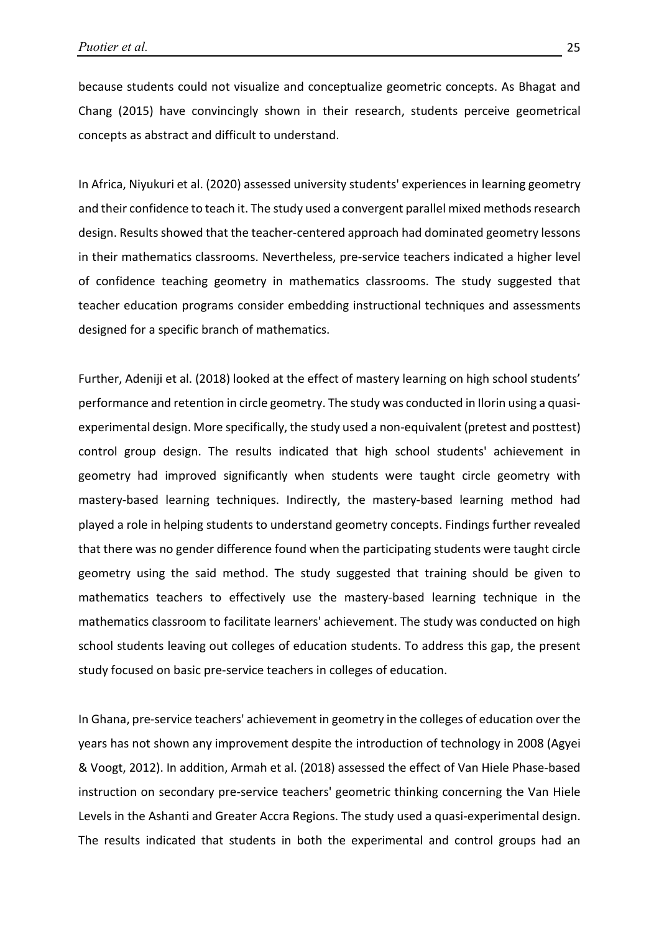because students could not visualize and conceptualize geometric concepts. As Bhagat and Chang (2015) have convincingly shown in their research, students perceive geometrical concepts as abstract and difficult to understand.

In Africa, Niyukuri et al. (2020) assessed university students' experiences in learning geometry and their confidence to teach it. The study used a convergent parallel mixed methods research design. Results showed that the teacher-centered approach had dominated geometry lessons in their mathematics classrooms. Nevertheless, pre-service teachers indicated a higher level of confidence teaching geometry in mathematics classrooms. The study suggested that teacher education programs consider embedding instructional techniques and assessments designed for a specific branch of mathematics.

Further, Adeniji et al. (2018) looked at the effect of mastery learning on high school students' performance and retention in circle geometry. The study was conducted in Ilorin using a quasiexperimental design. More specifically, the study used a non-equivalent (pretest and posttest) control group design. The results indicated that high school students' achievement in geometry had improved significantly when students were taught circle geometry with mastery-based learning techniques. Indirectly, the mastery-based learning method had played a role in helping students to understand geometry concepts. Findings further revealed that there was no gender difference found when the participating students were taught circle geometry using the said method. The study suggested that training should be given to mathematics teachers to effectively use the mastery-based learning technique in the mathematics classroom to facilitate learners' achievement. The study was conducted on high school students leaving out colleges of education students. To address this gap, the present study focused on basic pre-service teachers in colleges of education.

In Ghana, pre-service teachers' achievement in geometry in the colleges of education over the years has not shown any improvement despite the introduction of technology in 2008 (Agyei & Voogt, 2012). In addition, Armah et al. (2018) assessed the effect of Van Hiele Phase-based instruction on secondary pre-service teachers' geometric thinking concerning the Van Hiele Levels in the Ashanti and Greater Accra Regions. The study used a quasi-experimental design. The results indicated that students in both the experimental and control groups had an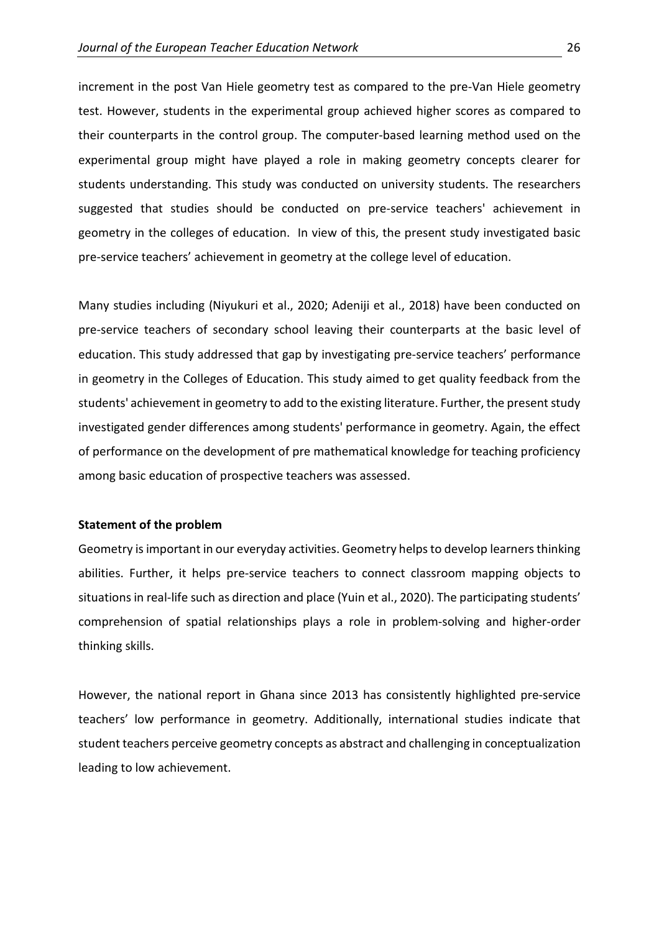increment in the post Van Hiele geometry test as compared to the pre-Van Hiele geometry test. However, students in the experimental group achieved higher scores as compared to their counterparts in the control group. The computer-based learning method used on the experimental group might have played a role in making geometry concepts clearer for students understanding. This study was conducted on university students. The researchers suggested that studies should be conducted on pre-service teachers' achievement in geometry in the colleges of education. In view of this, the present study investigated basic pre-service teachers' achievement in geometry at the college level of education.

Many studies including (Niyukuri et al., 2020; Adeniji et al., 2018) have been conducted on pre-service teachers of secondary school leaving their counterparts at the basic level of education. This study addressed that gap by investigating pre-service teachers' performance in geometry in the Colleges of Education. This study aimed to get quality feedback from the students' achievement in geometry to add to the existing literature. Further, the present study investigated gender differences among students' performance in geometry. Again, the effect of performance on the development of pre mathematical knowledge for teaching proficiency among basic education of prospective teachers was assessed.

### **Statement of the problem**

Geometry is important in our everyday activities. Geometry helps to develop learners thinking abilities. Further, it helps pre-service teachers to connect classroom mapping objects to situations in real-life such as direction and place (Yuin et al., 2020). The participating students' comprehension of spatial relationships plays a role in problem-solving and higher-order thinking skills.

However, the national report in Ghana since 2013 has consistently highlighted pre-service teachers' low performance in geometry. Additionally, international studies indicate that student teachers perceive geometry concepts as abstract and challenging in conceptualization leading to low achievement.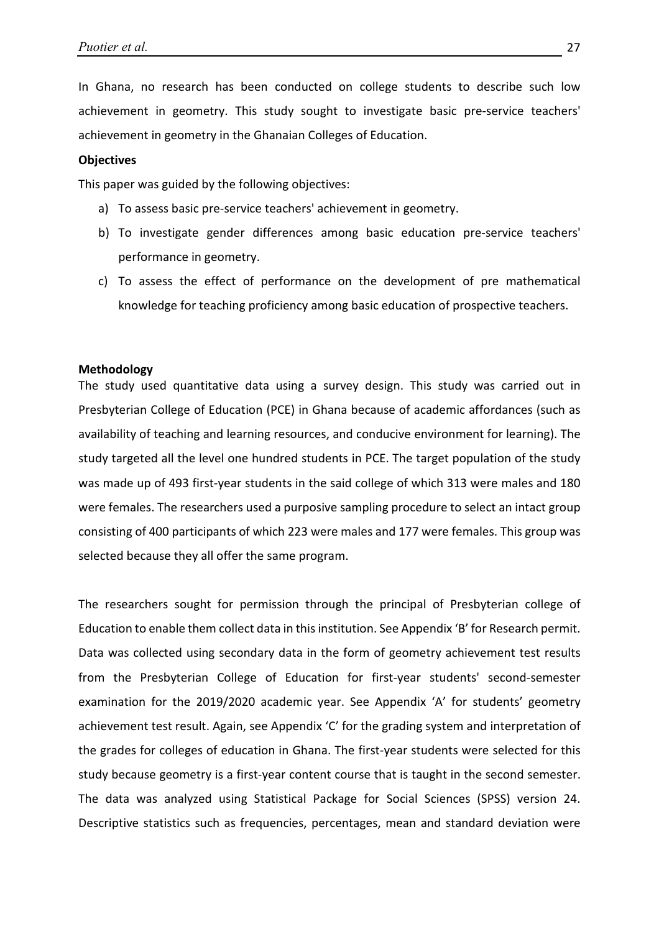In Ghana, no research has been conducted on college students to describe such low achievement in geometry. This study sought to investigate basic pre-service teachers' achievement in geometry in the Ghanaian Colleges of Education.

### **Objectives**

This paper was guided by the following objectives:

- a) To assess basic pre-service teachers' achievement in geometry.
- b) To investigate gender differences among basic education pre-service teachers' performance in geometry.
- c) To assess the effect of performance on the development of pre mathematical knowledge for teaching proficiency among basic education of prospective teachers.

#### **Methodology**

The study used quantitative data using a survey design. This study was carried out in Presbyterian College of Education (PCE) in Ghana because of academic affordances (such as availability of teaching and learning resources, and conducive environment for learning). The study targeted all the level one hundred students in PCE. The target population of the study was made up of 493 first-year students in the said college of which 313 were males and 180 were females. The researchers used a purposive sampling procedure to select an intact group consisting of 400 participants of which 223 were males and 177 were females. This group was selected because they all offer the same program.

The researchers sought for permission through the principal of Presbyterian college of Education to enable them collect data in this institution. See Appendix 'B' for Research permit. Data was collected using secondary data in the form of geometry achievement test results from the Presbyterian College of Education for first-year students' second-semester examination for the 2019/2020 academic year. See Appendix 'A' for students' geometry achievement test result. Again, see Appendix 'C' for the grading system and interpretation of the grades for colleges of education in Ghana. The first-year students were selected for this study because geometry is a first-year content course that is taught in the second semester. The data was analyzed using Statistical Package for Social Sciences (SPSS) version 24. Descriptive statistics such as frequencies, percentages, mean and standard deviation were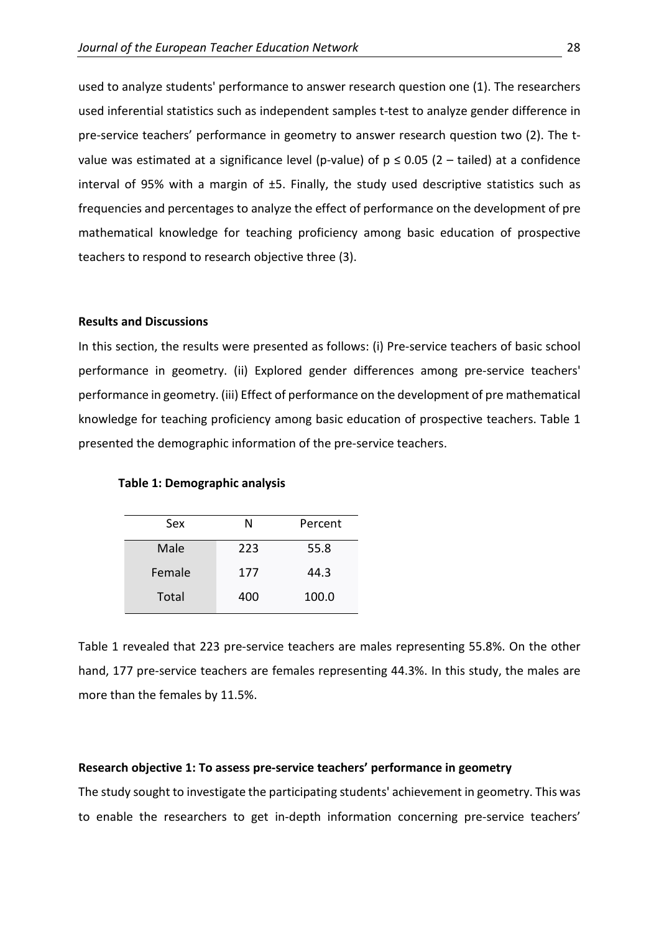used to analyze students' performance to answer research question one (1). The researchers used inferential statistics such as independent samples t-test to analyze gender difference in pre-service teachers' performance in geometry to answer research question two (2). The tvalue was estimated at a significance level (p-value) of  $p \le 0.05$  (2 – tailed) at a confidence interval of 95% with a margin of ±5. Finally, the study used descriptive statistics such as frequencies and percentages to analyze the effect of performance on the development of pre mathematical knowledge for teaching proficiency among basic education of prospective teachers to respond to research objective three (3).

### **Results and Discussions**

In this section, the results were presented as follows: (i) Pre-service teachers of basic school performance in geometry. (ii) Explored gender differences among pre-service teachers' performance in geometry. (iii) Effect of performance on the development of pre mathematical knowledge for teaching proficiency among basic education of prospective teachers. Table 1 presented the demographic information of the pre-service teachers.

#### **Table 1: Demographic analysis**

| Sex    | N   | Percent |
|--------|-----|---------|
| Male   | 223 | 55.8    |
| Female | 177 | 44.3    |
| Total  | 400 | 100.0   |

Table 1 revealed that 223 pre-service teachers are males representing 55.8%. On the other hand, 177 pre-service teachers are females representing 44.3%. In this study, the males are more than the females by 11.5%.

### **Research objective 1: To assess pre-service teachers' performance in geometry**

The study sought to investigate the participating students' achievement in geometry. This was to enable the researchers to get in-depth information concerning pre-service teachers'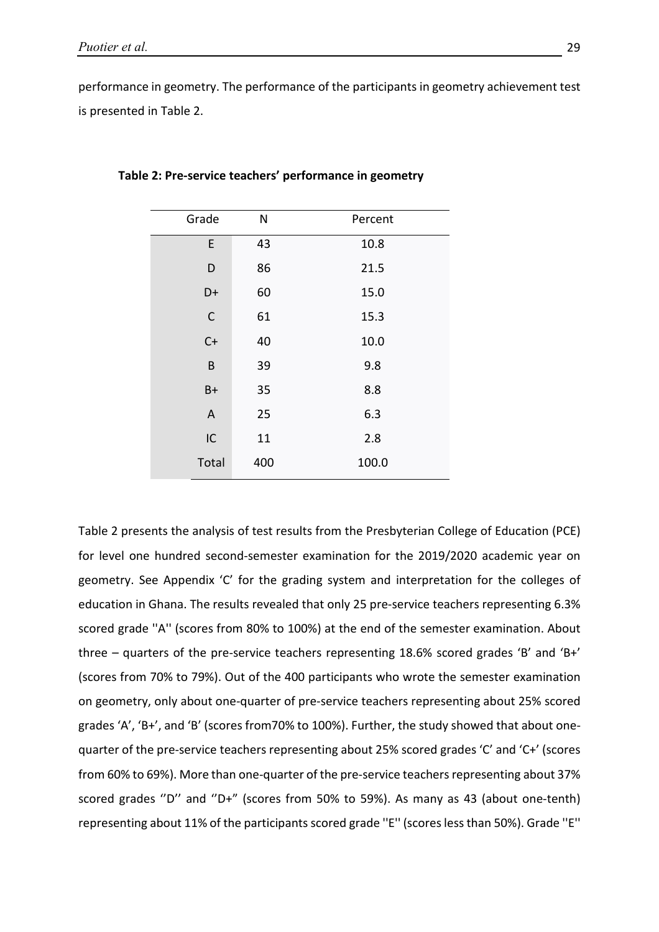performance in geometry. The performance of the participants in geometry achievement test is presented in Table 2.

| Grade                     | N   | Percent |
|---------------------------|-----|---------|
| E                         | 43  | 10.8    |
| D                         | 86  | 21.5    |
| D+                        | 60  | 15.0    |
| $\mathsf C$               | 61  | 15.3    |
| $C+$                      | 40  | 10.0    |
| B                         | 39  | 9.8     |
| $B+$                      | 35  | 8.8     |
| $\boldsymbol{\mathsf{A}}$ | 25  | 6.3     |
| IC                        | 11  | 2.8     |
| Total                     | 400 | 100.0   |

**Table 2: Pre-service teachers' performance in geometry**

Table 2 presents the analysis of test results from the Presbyterian College of Education (PCE) for level one hundred second-semester examination for the 2019/2020 academic year on geometry. See Appendix 'C' for the grading system and interpretation for the colleges of education in Ghana. The results revealed that only 25 pre-service teachers representing 6.3% scored grade ''A'' (scores from 80% to 100%) at the end of the semester examination. About three – quarters of the pre-service teachers representing 18.6% scored grades 'B' and 'B+' (scores from 70% to 79%). Out of the 400 participants who wrote the semester examination on geometry, only about one-quarter of pre-service teachers representing about 25% scored grades 'A', 'B+', and 'B' (scores from70% to 100%). Further, the study showed that about onequarter of the pre-service teachers representing about 25% scored grades 'C' and 'C+' (scores from 60% to 69%). More than one-quarter of the pre-service teachers representing about 37% scored grades ''D'' and ''D+" (scores from 50% to 59%). As many as 43 (about one-tenth) representing about 11% of the participants scored grade ''E'' (scores less than 50%). Grade ''E''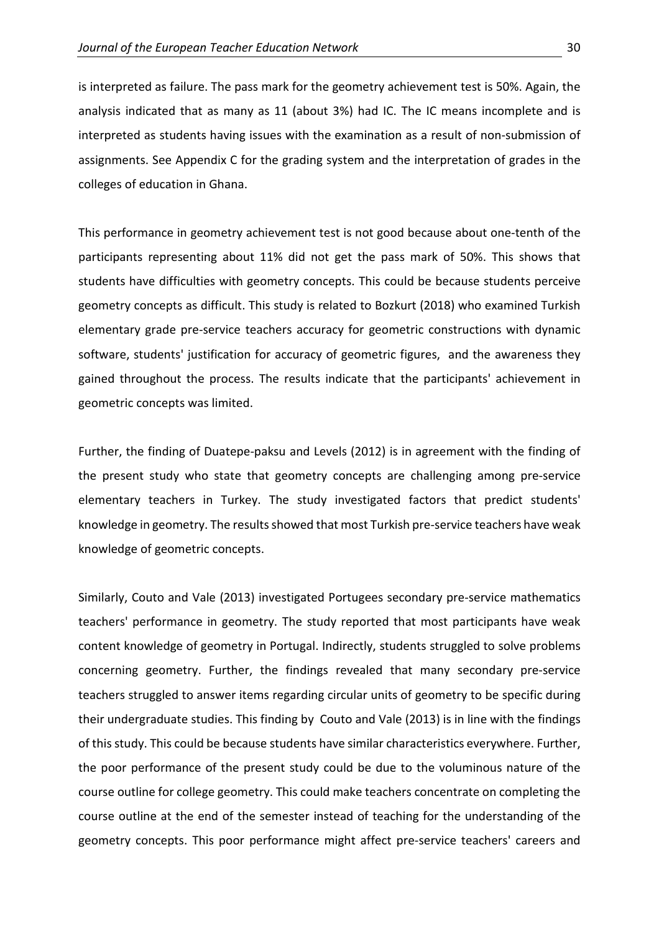is interpreted as failure. The pass mark for the geometry achievement test is 50%. Again, the analysis indicated that as many as 11 (about 3%) had IC. The IC means incomplete and is interpreted as students having issues with the examination as a result of non-submission of assignments. See Appendix C for the grading system and the interpretation of grades in the colleges of education in Ghana.

This performance in geometry achievement test is not good because about one-tenth of the participants representing about 11% did not get the pass mark of 50%. This shows that students have difficulties with geometry concepts. This could be because students perceive geometry concepts as difficult. This study is related to Bozkurt (2018) who examined Turkish elementary grade pre-service teachers accuracy for geometric constructions with dynamic software, students' justification for accuracy of geometric figures, and the awareness they gained throughout the process. The results indicate that the participants' achievement in geometric concepts was limited.

Further, the finding of Duatepe-paksu and Levels (2012) is in agreement with the finding of the present study who state that geometry concepts are challenging among pre-service elementary teachers in Turkey. The study investigated factors that predict students' knowledge in geometry. The results showed that most Turkish pre-service teachers have weak knowledge of geometric concepts.

Similarly, Couto and Vale (2013) investigated Portugees secondary pre-service mathematics teachers' performance in geometry. The study reported that most participants have weak content knowledge of geometry in Portugal. Indirectly, students struggled to solve problems concerning geometry. Further, the findings revealed that many secondary pre-service teachers struggled to answer items regarding circular units of geometry to be specific during their undergraduate studies. This finding by Couto and Vale (2013) is in line with the findings of this study. This could be because students have similar characteristics everywhere. Further, the poor performance of the present study could be due to the voluminous nature of the course outline for college geometry. This could make teachers concentrate on completing the course outline at the end of the semester instead of teaching for the understanding of the geometry concepts. This poor performance might affect pre-service teachers' careers and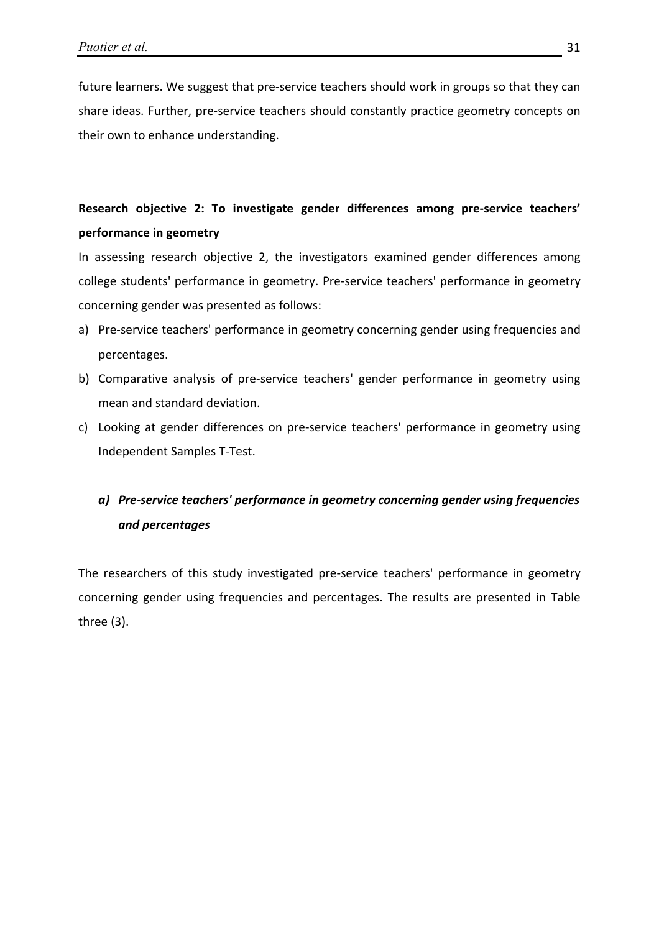future learners. We suggest that pre-service teachers should work in groups so that they can share ideas. Further, pre-service teachers should constantly practice geometry concepts on their own to enhance understanding.

## **Research objective 2: To investigate gender differences among pre-service teachers' performance in geometry**

In assessing research objective 2, the investigators examined gender differences among college students' performance in geometry. Pre-service teachers' performance in geometry concerning gender was presented as follows:

- a) Pre-service teachers' performance in geometry concerning gender using frequencies and percentages.
- b) Comparative analysis of pre-service teachers' gender performance in geometry using mean and standard deviation.
- c) Looking at gender differences on pre-service teachers' performance in geometry using Independent Samples T-Test.

# *a) Pre-service teachers' performance in geometry concerning gender using frequencies and percentages*

The researchers of this study investigated pre-service teachers' performance in geometry concerning gender using frequencies and percentages. The results are presented in Table three (3).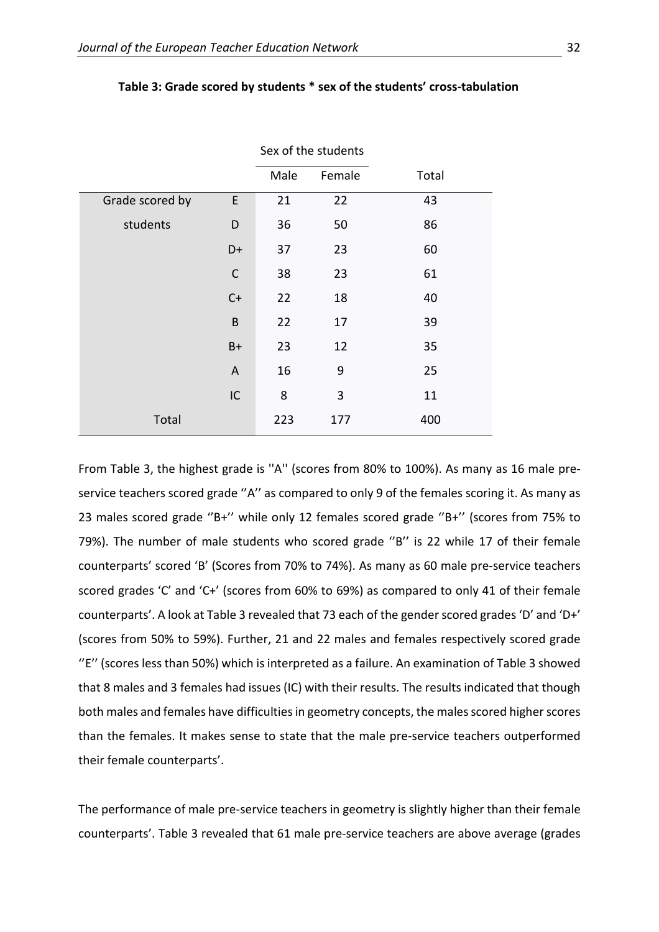|                 |              | Male | Female | Total |
|-----------------|--------------|------|--------|-------|
| Grade scored by | E            | 21   | 22     | 43    |
| students        | D            | 36   | 50     | 86    |
|                 | D+           | 37   | 23     | 60    |
|                 | $\mathsf{C}$ | 38   | 23     | 61    |
|                 | $C+$         | 22   | 18     | 40    |
|                 | B            | 22   | 17     | 39    |
|                 | $B+$         | 23   | 12     | 35    |
|                 | $\mathsf A$  | 16   | 9      | 25    |
|                 | IC           | 8    | 3      | 11    |
| Total           |              | 223  | 177    | 400   |

#### **Table 3: Grade scored by students \* sex of the students' cross-tabulation**

Sex of the students

From Table 3, the highest grade is ''A'' (scores from 80% to 100%). As many as 16 male preservice teachers scored grade "A" as compared to only 9 of the females scoring it. As many as 23 males scored grade ''B+'' while only 12 females scored grade ''B+'' (scores from 75% to 79%). The number of male students who scored grade "B" is 22 while 17 of their female counterparts' scored 'B' (Scores from 70% to 74%). As many as 60 male pre-service teachers scored grades 'C' and 'C+' (scores from 60% to 69%) as compared to only 41 of their female counterparts'. A look at Table 3 revealed that 73 each of the gender scored grades 'D' and 'D+' (scores from 50% to 59%). Further, 21 and 22 males and females respectively scored grade "E" (scores less than 50%) which is interpreted as a failure. An examination of Table 3 showed that 8 males and 3 females had issues (IC) with their results. The results indicated that though both males and females have difficulties in geometry concepts, the males scored higher scores than the females. It makes sense to state that the male pre-service teachers outperformed their female counterparts'.

The performance of male pre-service teachers in geometry is slightly higher than their female counterparts'. Table 3 revealed that 61 male pre-service teachers are above average (grades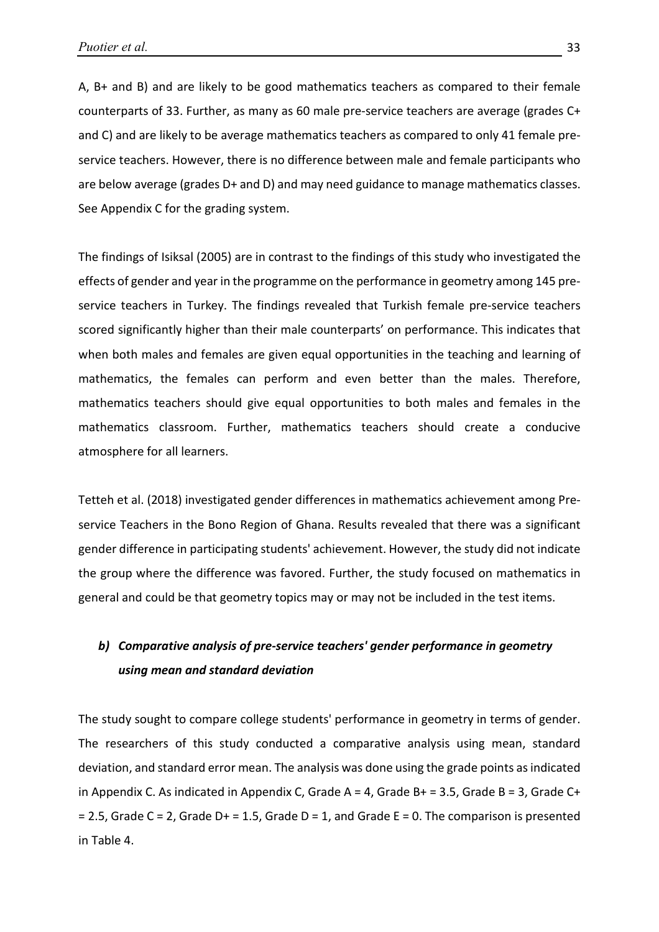A, B+ and B) and are likely to be good mathematics teachers as compared to their female counterparts of 33. Further, as many as 60 male pre-service teachers are average (grades C+ and C) and are likely to be average mathematics teachers as compared to only 41 female preservice teachers. However, there is no difference between male and female participants who are below average (grades D+ and D) and may need guidance to manage mathematics classes. See Appendix C for the grading system.

The findings of Isiksal (2005) are in contrast to the findings of this study who investigated the effects of gender and year in the programme on the performance in geometry among 145 preservice teachers in Turkey. The findings revealed that Turkish female pre-service teachers scored significantly higher than their male counterparts' on performance. This indicates that when both males and females are given equal opportunities in the teaching and learning of mathematics, the females can perform and even better than the males. Therefore, mathematics teachers should give equal opportunities to both males and females in the mathematics classroom. Further, mathematics teachers should create a conducive atmosphere for all learners.

Tetteh et al. (2018) investigated gender differences in mathematics achievement among Preservice Teachers in the Bono Region of Ghana. Results revealed that there was a significant gender difference in participating students' achievement. However, the study did not indicate the group where the difference was favored. Further, the study focused on mathematics in general and could be that geometry topics may or may not be included in the test items.

## *b) Comparative analysis of pre-service teachers' gender performance in geometry using mean and standard deviation*

The study sought to compare college students' performance in geometry in terms of gender. The researchers of this study conducted a comparative analysis using mean, standard deviation, and standard error mean. The analysis was done using the grade points as indicated in Appendix C. As indicated in Appendix C, Grade A = 4, Grade B + = 3.5, Grade B = 3, Grade C +  $= 2.5$ , Grade C = 2, Grade D+ = 1.5, Grade D = 1, and Grade E = 0. The comparison is presented in Table 4.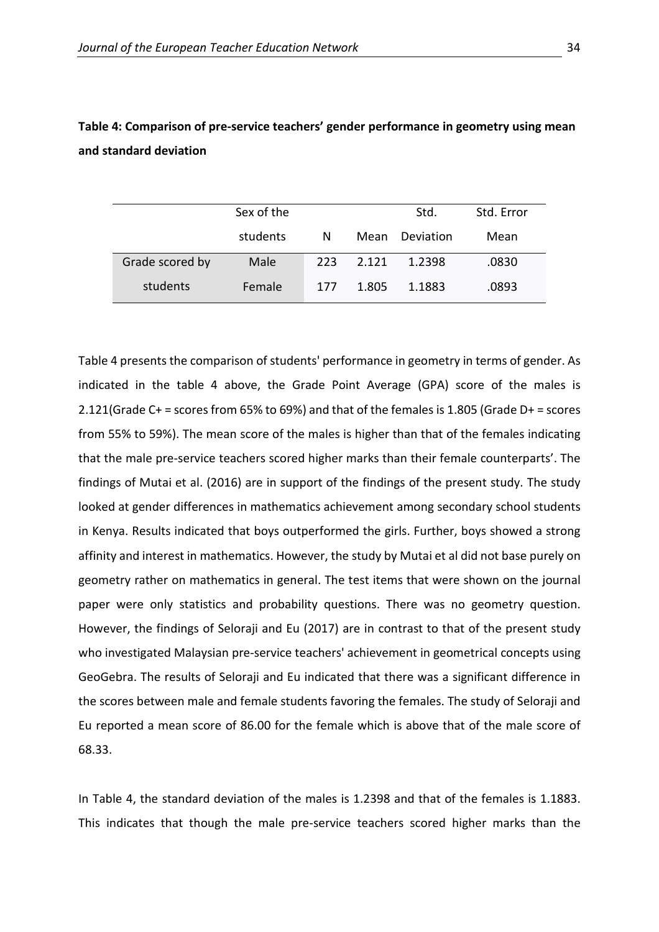|                 | Sex of the |     |       | Std.      | Std. Error |
|-----------------|------------|-----|-------|-----------|------------|
|                 | students   | N   | Mean  | Deviation | Mean       |
| Grade scored by | Male       | 223 | 2.121 | 1.2398    | .0830      |
| students        | Female     | 177 | 1.805 | 1.1883    | .0893      |

### **Table 4: Comparison of pre-service teachers' gender performance in geometry using mean and standard deviation**

Table 4 presents the comparison of students' performance in geometry in terms of gender. As indicated in the table 4 above, the Grade Point Average (GPA) score of the males is 2.121(Grade C+ = scores from 65% to 69%) and that of the females is 1.805 (Grade D+ = scores from 55% to 59%). The mean score of the males is higher than that of the females indicating that the male pre-service teachers scored higher marks than their female counterparts'. The findings of Mutai et al. (2016) are in support of the findings of the present study. The study looked at gender differences in mathematics achievement among secondary school students in Kenya. Results indicated that boys outperformed the girls. Further, boys showed a strong affinity and interest in mathematics. However, the study by Mutai et al did not base purely on geometry rather on mathematics in general. The test items that were shown on the journal paper were only statistics and probability questions. There was no geometry question. However, the findings of Seloraji and Eu (2017) are in contrast to that of the present study who investigated Malaysian pre-service teachers' achievement in geometrical concepts using GeoGebra. The results of Seloraji and Eu indicated that there was a significant difference in the scores between male and female students favoring the females. The study of Seloraji and Eu reported a mean score of 86.00 for the female which is above that of the male score of 68.33.

In Table 4, the standard deviation of the males is 1.2398 and that of the females is 1.1883. This indicates that though the male pre-service teachers scored higher marks than the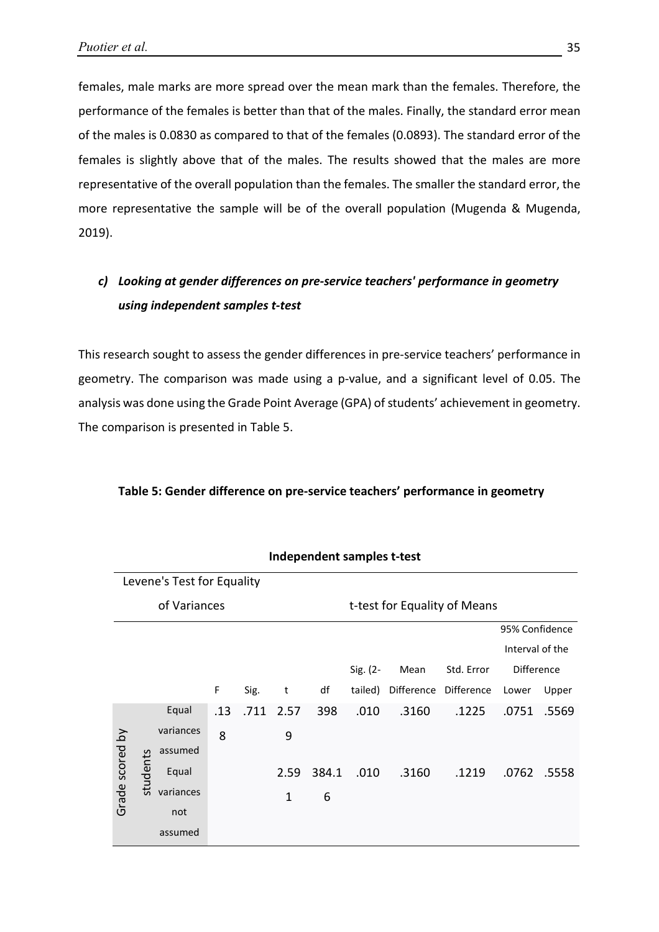females, male marks are more spread over the mean mark than the females. Therefore, the performance of the females is better than that of the males. Finally, the standard error mean of the males is 0.0830 as compared to that of the females (0.0893). The standard error of the females is slightly above that of the males. The results showed that the males are more representative of the overall population than the females. The smaller the standard error, the more representative the sample will be of the overall population (Mugenda & Mugenda, 2019).

# *c) Looking at gender differences on pre-service teachers' performance in geometry using independent samples t-test*

This research sought to assess the gender differences in pre-service teachers' performance in geometry. The comparison was made using a p-value, and a significant level of 0.05. The analysis was done using the Grade Point Average (GPA) of students' achievement in geometry. The comparison is presented in Table 5.

|                 | Independent samples t-test |                            |     |      |              |                              |          |            |            |                 |       |  |
|-----------------|----------------------------|----------------------------|-----|------|--------------|------------------------------|----------|------------|------------|-----------------|-------|--|
|                 |                            | Levene's Test for Equality |     |      |              |                              |          |            |            |                 |       |  |
| of Variances    |                            |                            |     |      |              | t-test for Equality of Means |          |            |            |                 |       |  |
|                 |                            |                            |     |      |              |                              |          |            |            | 95% Confidence  |       |  |
|                 |                            |                            |     |      |              |                              |          |            |            | Interval of the |       |  |
|                 |                            |                            |     |      |              |                              | Sig. (2- | Mean       | Std. Error | Difference      |       |  |
|                 |                            |                            | F   | Sig. | t            | df                           | tailed)  | Difference | Difference | Lower           | Upper |  |
|                 |                            | Equal                      | .13 | .711 | 2.57         | 398                          | .010     | .3160      | .1225      | .0751           | .5569 |  |
|                 |                            | variances                  | 8   |      | 9            |                              |          |            |            |                 |       |  |
|                 |                            | assumed                    |     |      |              |                              |          |            |            |                 |       |  |
| Grade scored by | students                   | Equal                      |     |      | 2.59         | 384.1                        | .010     | .3160      | .1219      | .0762           | .5558 |  |
|                 |                            | variances                  |     |      | $\mathbf{1}$ | 6                            |          |            |            |                 |       |  |
|                 |                            | not                        |     |      |              |                              |          |            |            |                 |       |  |
|                 |                            | assumed                    |     |      |              |                              |          |            |            |                 |       |  |

### **Table 5: Gender difference on pre-service teachers' performance in geometry**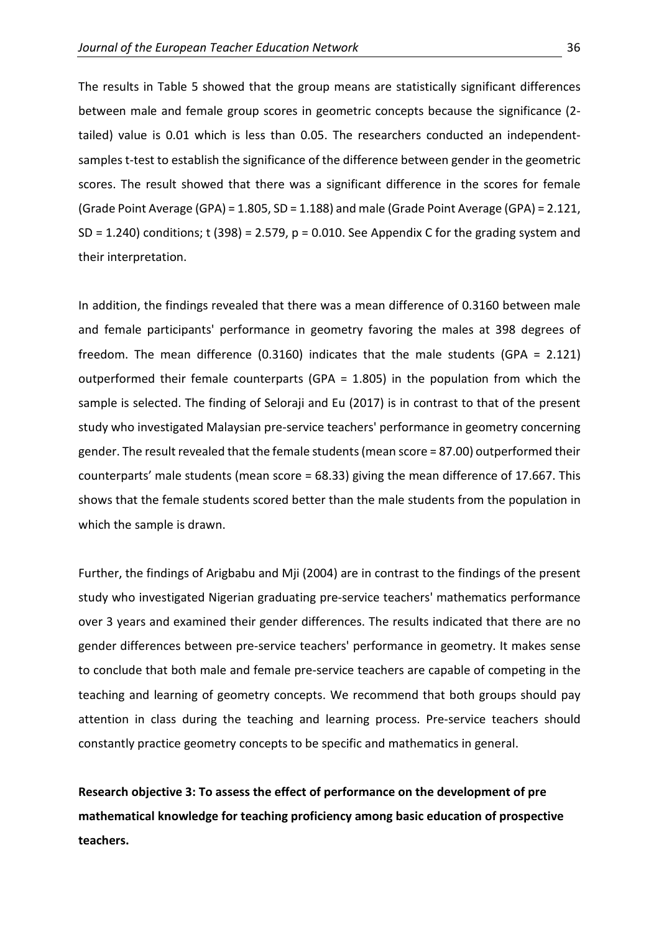The results in Table 5 showed that the group means are statistically significant differences between male and female group scores in geometric concepts because the significance (2 tailed) value is 0.01 which is less than 0.05. The researchers conducted an independentsamples t-test to establish the significance of the difference between gender in the geometric scores. The result showed that there was a significant difference in the scores for female (Grade Point Average (GPA) = 1.805, SD = 1.188) and male (Grade Point Average (GPA) = 2.121, SD = 1.240) conditions; t (398) = 2.579,  $p = 0.010$ . See Appendix C for the grading system and their interpretation.

In addition, the findings revealed that there was a mean difference of 0.3160 between male and female participants' performance in geometry favoring the males at 398 degrees of freedom. The mean difference (0.3160) indicates that the male students (GPA = 2.121) outperformed their female counterparts (GPA = 1.805) in the population from which the sample is selected. The finding of Seloraji and Eu (2017) is in contrast to that of the present study who investigated Malaysian pre-service teachers' performance in geometry concerning gender. The result revealed that the female students (mean score = 87.00) outperformed their counterparts' male students (mean score = 68.33) giving the mean difference of 17.667. This shows that the female students scored better than the male students from the population in which the sample is drawn.

Further, the findings of Arigbabu and Mji (2004) are in contrast to the findings of the present study who investigated Nigerian graduating pre-service teachers' mathematics performance over 3 years and examined their gender differences. The results indicated that there are no gender differences between pre-service teachers' performance in geometry. It makes sense to conclude that both male and female pre-service teachers are capable of competing in the teaching and learning of geometry concepts. We recommend that both groups should pay attention in class during the teaching and learning process. Pre-service teachers should constantly practice geometry concepts to be specific and mathematics in general.

**Research objective 3: To assess the effect of performance on the development of pre mathematical knowledge for teaching proficiency among basic education of prospective teachers.**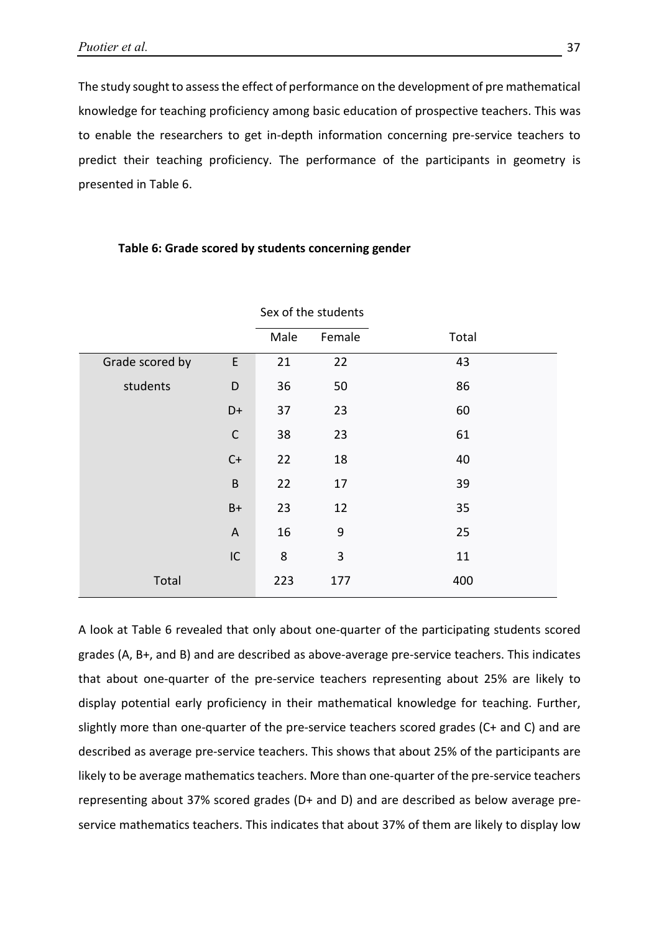The study sought to assess the effect of performance on the development of pre mathematical knowledge for teaching proficiency among basic education of prospective teachers. This was to enable the researchers to get in-depth information concerning pre-service teachers to predict their teaching proficiency. The performance of the participants in geometry is presented in Table 6.

|                 |              |      | Sex of the students |       |
|-----------------|--------------|------|---------------------|-------|
|                 |              | Male | Female              | Total |
| Grade scored by | E            | 21   | 22                  | 43    |
| students        | D            | 36   | 50                  | 86    |
|                 | $D+$         | 37   | 23                  | 60    |
|                 | $\mathsf C$  | 38   | 23                  | 61    |
|                 | $C+$         | 22   | 18                  | 40    |
|                 | $\sf B$      | 22   | 17                  | 39    |
|                 | $B+$         | 23   | 12                  | 35    |
|                 | $\mathsf{A}$ | 16   | 9                   | 25    |
|                 | $\sf IC$     | 8    | 3                   | 11    |
| Total           |              | 223  | 177                 | 400   |

### **Table 6: Grade scored by students concerning gender**

A look at Table 6 revealed that only about one-quarter of the participating students scored grades (A, B+, and B) and are described as above-average pre-service teachers. This indicates that about one-quarter of the pre-service teachers representing about 25% are likely to display potential early proficiency in their mathematical knowledge for teaching. Further, slightly more than one-quarter of the pre-service teachers scored grades (C+ and C) and are described as average pre-service teachers. This shows that about 25% of the participants are likely to be average mathematics teachers. More than one-quarter of the pre-service teachers representing about 37% scored grades (D+ and D) and are described as below average preservice mathematics teachers. This indicates that about 37% of them are likely to display low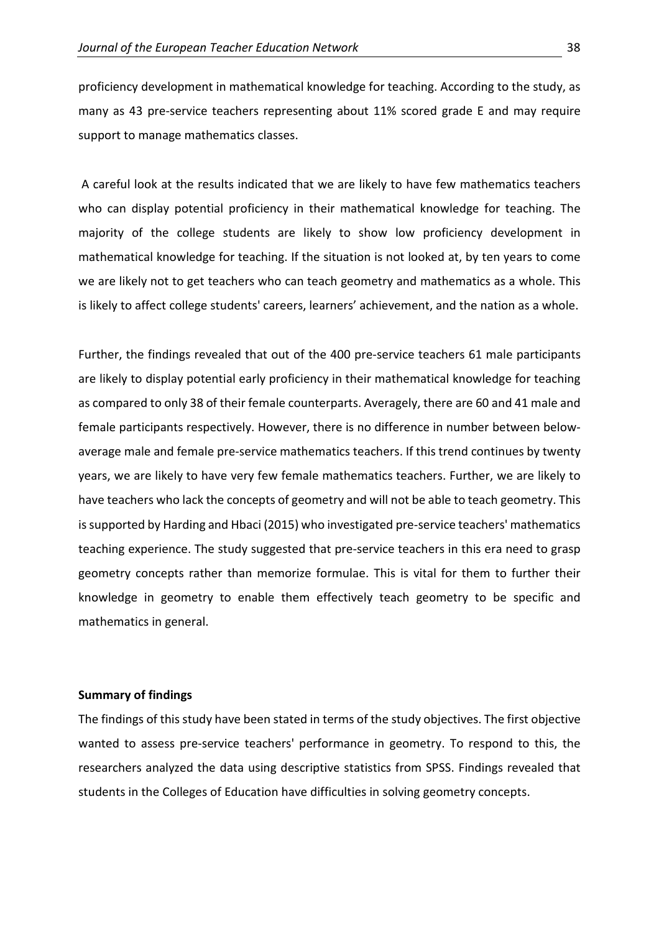proficiency development in mathematical knowledge for teaching. According to the study, as many as 43 pre-service teachers representing about 11% scored grade E and may require support to manage mathematics classes.

A careful look at the results indicated that we are likely to have few mathematics teachers who can display potential proficiency in their mathematical knowledge for teaching. The majority of the college students are likely to show low proficiency development in mathematical knowledge for teaching. If the situation is not looked at, by ten years to come we are likely not to get teachers who can teach geometry and mathematics as a whole. This is likely to affect college students' careers, learners' achievement, and the nation as a whole.

Further, the findings revealed that out of the 400 pre-service teachers 61 male participants are likely to display potential early proficiency in their mathematical knowledge for teaching as compared to only 38 of their female counterparts. Averagely, there are 60 and 41 male and female participants respectively. However, there is no difference in number between belowaverage male and female pre-service mathematics teachers. If this trend continues by twenty years, we are likely to have very few female mathematics teachers. Further, we are likely to have teachers who lack the concepts of geometry and will not be able to teach geometry. This is supported by Harding and Hbaci (2015) who investigated pre-service teachers' mathematics teaching experience. The study suggested that pre-service teachers in this era need to grasp geometry concepts rather than memorize formulae. This is vital for them to further their knowledge in geometry to enable them effectively teach geometry to be specific and mathematics in general.

### **Summary of findings**

The findings of this study have been stated in terms of the study objectives. The first objective wanted to assess pre-service teachers' performance in geometry. To respond to this, the researchers analyzed the data using descriptive statistics from SPSS. Findings revealed that students in the Colleges of Education have difficulties in solving geometry concepts.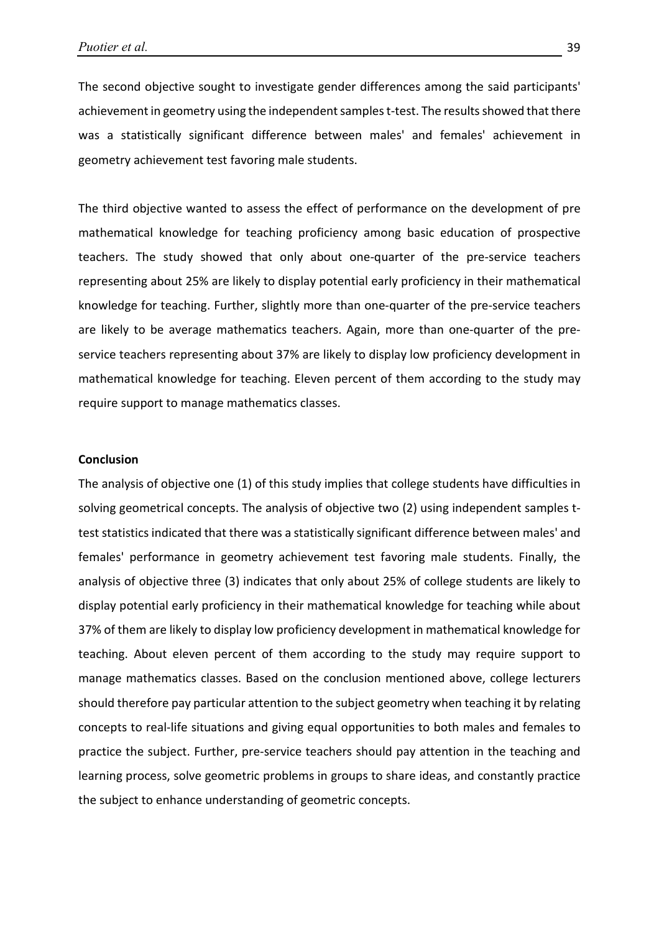The second objective sought to investigate gender differences among the said participants' achievement in geometry using the independent samples t-test. The results showed that there was a statistically significant difference between males' and females' achievement in geometry achievement test favoring male students.

The third objective wanted to assess the effect of performance on the development of pre mathematical knowledge for teaching proficiency among basic education of prospective teachers. The study showed that only about one-quarter of the pre-service teachers representing about 25% are likely to display potential early proficiency in their mathematical knowledge for teaching. Further, slightly more than one-quarter of the pre-service teachers are likely to be average mathematics teachers. Again, more than one-quarter of the preservice teachers representing about 37% are likely to display low proficiency development in mathematical knowledge for teaching. Eleven percent of them according to the study may require support to manage mathematics classes.

### **Conclusion**

The analysis of objective one (1) of this study implies that college students have difficulties in solving geometrical concepts. The analysis of objective two (2) using independent samples ttest statistics indicated that there was a statistically significant difference between males' and females' performance in geometry achievement test favoring male students. Finally, the analysis of objective three (3) indicates that only about 25% of college students are likely to display potential early proficiency in their mathematical knowledge for teaching while about 37% of them are likely to display low proficiency development in mathematical knowledge for teaching. About eleven percent of them according to the study may require support to manage mathematics classes. Based on the conclusion mentioned above, college lecturers should therefore pay particular attention to the subject geometry when teaching it by relating concepts to real-life situations and giving equal opportunities to both males and females to practice the subject. Further, pre-service teachers should pay attention in the teaching and learning process, solve geometric problems in groups to share ideas, and constantly practice the subject to enhance understanding of geometric concepts.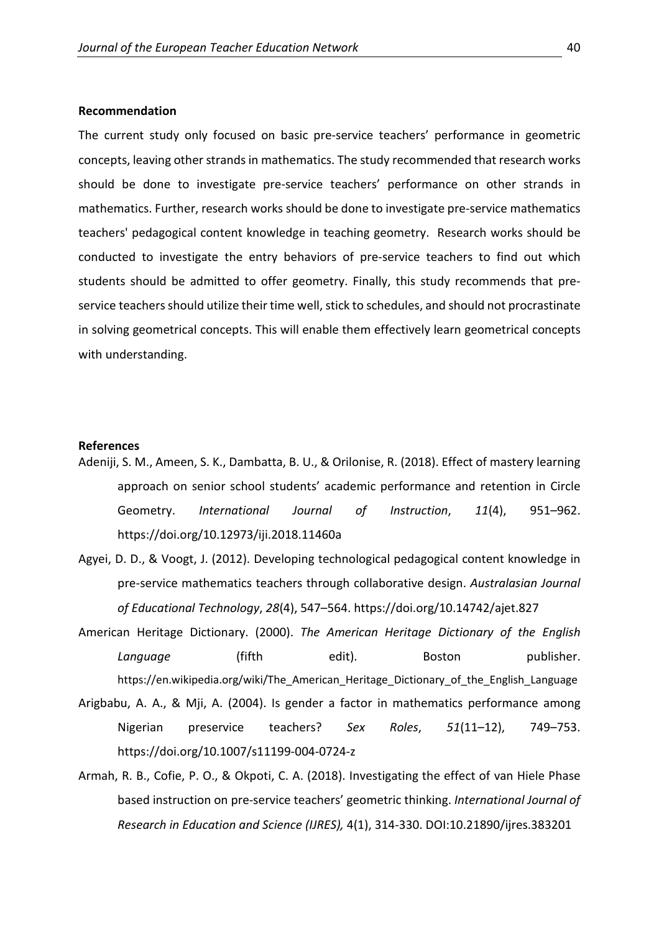#### **Recommendation**

The current study only focused on basic pre-service teachers' performance in geometric concepts, leaving other strands in mathematics. The study recommended that research works should be done to investigate pre-service teachers' performance on other strands in mathematics. Further, research works should be done to investigate pre-service mathematics teachers' pedagogical content knowledge in teaching geometry. Research works should be conducted to investigate the entry behaviors of pre-service teachers to find out which students should be admitted to offer geometry. Finally, this study recommends that preservice teachers should utilize their time well, stick to schedules, and should not procrastinate in solving geometrical concepts. This will enable them effectively learn geometrical concepts with understanding.

### **References**

- Adeniji, S. M., Ameen, S. K., Dambatta, B. U., & Orilonise, R. (2018). Effect of mastery learning approach on senior school students' academic performance and retention in Circle Geometry. *International Journal of Instruction*, *11*(4), 951–962. https://doi.org/10.12973/iji.2018.11460a
- Agyei, D. D., & Voogt, J. (2012). Developing technological pedagogical content knowledge in pre-service mathematics teachers through collaborative design. *Australasian Journal of Educational Technology*, *28*(4), 547–564. https://doi.org/10.14742/ajet.827
- American Heritage Dictionary. (2000). *The American Heritage Dictionary of the English* **Language** (fifth edit). Boston publisher. https://en.wikipedia.org/wiki/The\_American\_Heritage\_Dictionary\_of\_the\_English\_Language
- Arigbabu, A. A., & Mji, A. (2004). Is gender a factor in mathematics performance among Nigerian preservice teachers? *Sex Roles*, *51*(11–12), 749–753. https://doi.org/10.1007/s11199-004-0724-z
- Armah, R. B., Cofie, P. O., & Okpoti, C. A. (2018). Investigating the effect of van Hiele Phase based instruction on pre-service teachers' geometric thinking. *International Journal of Research in Education and Science (IJRES),* 4(1), 314-330. DOI:10.21890/ijres.383201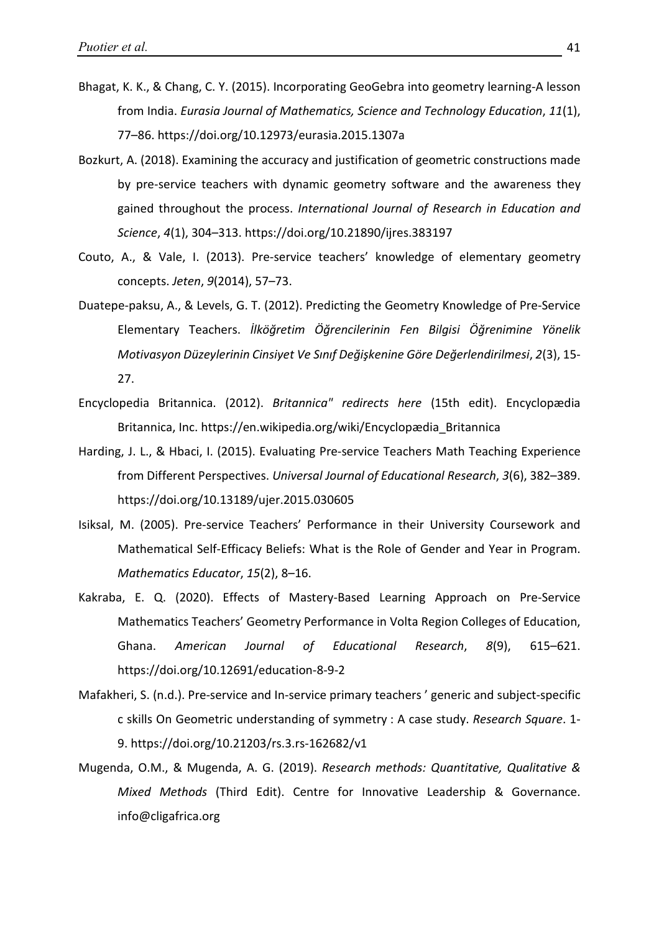- Bhagat, K. K., & Chang, C. Y. (2015). Incorporating GeoGebra into geometry learning-A lesson from India. *Eurasia Journal of Mathematics, Science and Technology Education*, *11*(1), 77–86. https://doi.org/10.12973/eurasia.2015.1307a
- Bozkurt, A. (2018). Examining the accuracy and justification of geometric constructions made by pre-service teachers with dynamic geometry software and the awareness they gained throughout the process. *International Journal of Research in Education and Science*, *4*(1), 304–313. https://doi.org/10.21890/ijres.383197
- Couto, A., & Vale, I. (2013). Pre-service teachers' knowledge of elementary geometry concepts. *Jeten*, *9*(2014), 57–73.
- Duatepe-paksu, A., & Levels, G. T. (2012). Predicting the Geometry Knowledge of Pre-Service Elementary Teachers. *İlköğretim Öğrencilerinin Fen Bilgisi Öğrenimine Yönelik Motivasyon Düzeylerinin Cinsiyet Ve Sınıf Değişkenine Göre Değerlendirilmesi*, *2*(3), 15- 27.
- Encyclopedia Britannica. (2012). *Britannica" redirects here* (15th edit). Encyclopædia Britannica, Inc. https://en.wikipedia.org/wiki/Encyclopædia\_Britannica
- Harding, J. L., & Hbaci, I. (2015). Evaluating Pre-service Teachers Math Teaching Experience from Different Perspectives. *Universal Journal of Educational Research*, *3*(6), 382–389. https://doi.org/10.13189/ujer.2015.030605
- Isiksal, M. (2005). Pre-service Teachers' Performance in their University Coursework and Mathematical Self-Efficacy Beliefs: What is the Role of Gender and Year in Program. *Mathematics Educator*, *15*(2), 8–16.
- Kakraba, E. Q. (2020). Effects of Mastery-Based Learning Approach on Pre-Service Mathematics Teachers' Geometry Performance in Volta Region Colleges of Education, Ghana. *American Journal of Educational Research*, *8*(9), 615–621. https://doi.org/10.12691/education-8-9-2
- Mafakheri, S. (n.d.). Pre-service and In-service primary teachers ' generic and subject-specific c skills On Geometric understanding of symmetry : A case study. *Research Square*. 1- 9. https://doi.org/10.21203/rs.3.rs-162682/v1
- Mugenda, O.M., & Mugenda, A. G. (2019). *Research methods: Quantitative, Qualitative & Mixed Methods* (Third Edit). Centre for Innovative Leadership & Governance. info@cligafrica.org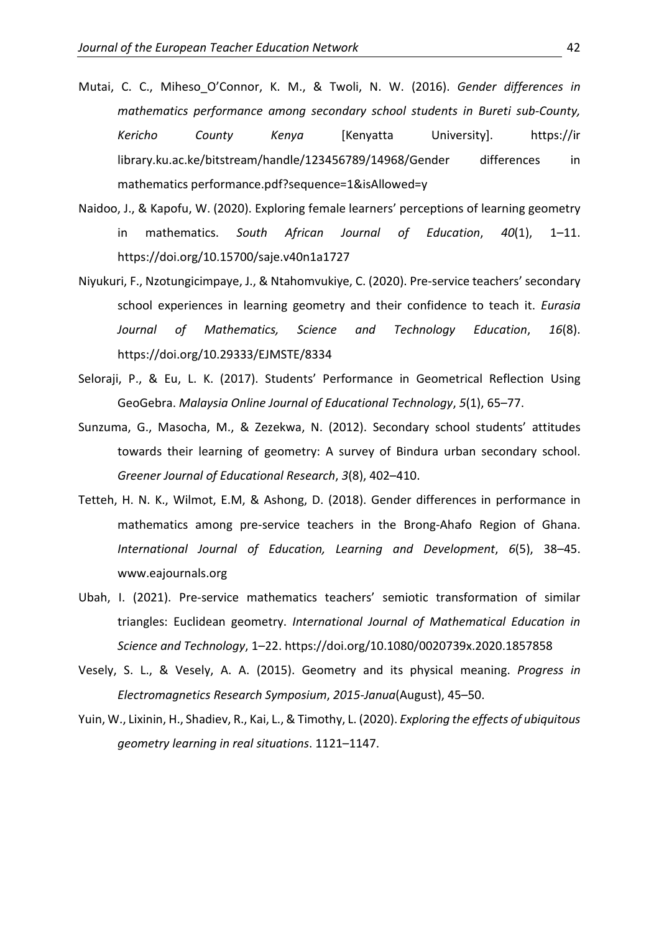- Mutai, C. C., Miheso\_O'Connor, K. M., & Twoli, N. W. (2016). *Gender differences in mathematics performance among secondary school students in Bureti sub-County, Kericho County Kenya* [Kenyatta University]. [https://ir](https://ir/) library.ku.ac.ke/bitstream/handle/123456789/14968/Gender differences in mathematics performance.pdf?sequence=1&isAllowed=y
- Naidoo, J., & Kapofu, W. (2020). Exploring female learners' perceptions of learning geometry in mathematics. *South African Journal of Education*, *40*(1), 1–11. https://doi.org/10.15700/saje.v40n1a1727
- Niyukuri, F., Nzotungicimpaye, J., & Ntahomvukiye, C. (2020). Pre-service teachers' secondary school experiences in learning geometry and their confidence to teach it. *Eurasia Journal of Mathematics, Science and Technology Education*, *16*(8). https://doi.org/10.29333/EJMSTE/8334
- Seloraji, P., & Eu, L. K. (2017). Students' Performance in Geometrical Reflection Using GeoGebra. *Malaysia Online Journal of Educational Technology*, *5*(1), 65–77.
- Sunzuma, G., Masocha, M., & Zezekwa, N. (2012). Secondary school students' attitudes towards their learning of geometry: A survey of Bindura urban secondary school. *Greener Journal of Educational Research*, *3*(8), 402–410.
- Tetteh, H. N. K., Wilmot, E.M, & Ashong, D. (2018). Gender differences in performance in mathematics among pre-service teachers in the Brong-Ahafo Region of Ghana. *International Journal of Education, Learning and Development*, *6*(5), 38–45. www.eajournals.org
- Ubah, I. (2021). Pre-service mathematics teachers' semiotic transformation of similar triangles: Euclidean geometry. *International Journal of Mathematical Education in Science and Technology*, 1–22. https://doi.org/10.1080/0020739x.2020.1857858
- Vesely, S. L., & Vesely, A. A. (2015). Geometry and its physical meaning. *Progress in Electromagnetics Research Symposium*, *2015*-*Janua*(August), 45–50.
- Yuin, W., Lixinin, H., Shadiev, R., Kai, L., & Timothy, L. (2020). *Exploring the effects of ubiquitous geometry learning in real situations*. 1121–1147.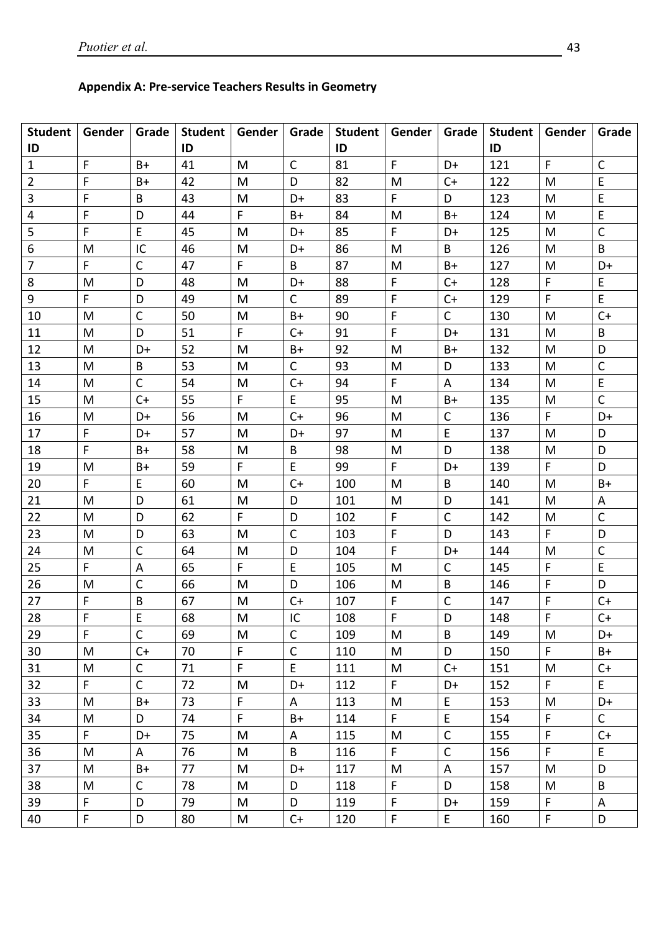### **Appendix A: Pre-service Teachers Results in Geometry**

| Student                 | Gender       |              | Grade   Student   Gender |    | Grade        | <b>Student</b> | Gender       | Grade        | <b>Student</b> | Gender      | Grade        |
|-------------------------|--------------|--------------|--------------------------|----|--------------|----------------|--------------|--------------|----------------|-------------|--------------|
| ID                      |              |              | ID                       |    |              | ID             |              |              | ID             |             |              |
| $\mathbf{1}$            | $\mathsf F$  | $B+$         | 41                       | M  | $\mathsf{C}$ | 81             | F            | D+           | 121            | F           | $\mathsf{C}$ |
| $\overline{2}$          | F            | B+           | 42                       | M  | D            | 82             | M            | $C+$         | 122            | M           | E            |
| $\overline{3}$          | $\mathsf F$  | B            | 43                       | M  | D+           | 83             | F            | D            | 123            | M           | $\mathsf E$  |
| $\overline{\mathbf{4}}$ | F            | D            | 44                       | F. | $B+$         | 84             | M            | $B+$         | 124            | M           | $\mathsf E$  |
| 5                       | F            | E            | 45                       | M  | D+           | 85             | F.           | D+           | 125            | M           | $\mathsf{C}$ |
| 6                       | M            | IC           | 46                       | M  | D+           | 86             | M            | B            | 126            | M           | B            |
| $\overline{7}$          | F            | $\mathsf{C}$ | 47                       | F. | B            | 87             | M            | B+           | 127            | M           | D+           |
| 8                       | M            | D            | 48                       | M  | D+           | 88             | F            | $C+$         | 128            | F           | E            |
| 9                       | F            | D            | 49                       | M  | $\mathsf{C}$ | 89             | F            | $C+$         | 129            | $\mathsf F$ | $\mathsf E$  |
| 10                      | M            | $\mathsf C$  | 50                       | M  | $B+$         | 90             | F            | $\mathsf{C}$ | 130            | M           | $C+$         |
| 11                      | M            | D            | 51                       | F. | $C+$         | 91             | F            | D+           | 131            | M           | B            |
| 12                      | M            | D+           | 52                       | M  | $B+$         | 92             | M            | $B+$         | 132            | M           | D            |
| 13                      | M            | B            | 53                       | M  | $\mathsf{C}$ | 93             | M            | D            | 133            | M           | $\mathsf{C}$ |
| 14                      | M            | $\mathsf{C}$ | 54                       | M  | $C+$         | 94             | F.           | A            | 134            | M           | E            |
| 15                      | M            | $C+$         | 55                       | F  | E            | 95             | M            | B+           | 135            | M           | $\mathsf{C}$ |
| 16                      | M            | D+           | 56                       | M  | $C+$         | 96             | M            | $\mathsf{C}$ | 136            | F.          | D+           |
| 17                      | F            | D+           | 57                       | M  | D+           | 97             | M            | E            | 137            | M           | D            |
| 18                      | F            | B+           | 58                       | M  | B            | 98             | M            | D            | 138            | M           | D            |
| 19                      | M            | $B+$         | 59                       | F  | E            | 99             | F            | D+           | 139            | $\mathsf F$ | D            |
| 20                      | F.           | E            | 60                       | M  | $C+$         | 100            | M            | B            | 140            | M           | $B+$         |
| 21                      | M            | D            | 61                       | M  | D            | 101            | M            | D            | 141            | M           | A            |
| 22                      | M            | D            | 62                       | F. | D            | 102            | F            | $\mathsf{C}$ | 142            | M           | $\mathsf C$  |
| 23                      | M            | D            | 63                       | M  | $\mathsf{C}$ | 103            | $\mathsf{F}$ | D            | 143            | F           | D            |
| 24                      | M            | $\mathsf{C}$ | 64                       | M  | D            | 104            | F            | D+           | 144            | M           | $\mathsf{C}$ |
| 25                      | F.           | A            | 65                       | F  | E            | 105            | M            | C            | 145            | F           | $\mathsf E$  |
| 26                      | M            | C            | 66                       | M  | D            | 106            | M            | B            | 146            | F           | D            |
| 27                      | F            | B            | 67                       | M  | $C+$         | 107            | F            | $\mathsf{C}$ | 147            | F           | $C+$         |
| 28                      | $\mathsf F$  | E.           | 68                       | M  | IC           | 108            | $\mathsf F$  | D            | 148            | $\mathsf F$ | $C+$         |
| 29                      | $\mathsf{F}$ | $\mathsf{C}$ | 69                       | M  | $\mathsf{C}$ | 109            | M            | B            | 149            | M           | D+           |
| 30                      | M            | $C+$         | 70                       | F  | $\mathsf{C}$ | 110            | M            | D            | 150            | F.          | $B+$         |
| 31                      | M            | $\mathsf{C}$ | 71                       | F. | E            | 111            | M            | $C+$         | 151            | M           | $C+$         |
| 32                      | $\mathsf F$  | $\mathsf{C}$ | 72                       | M  | D+           | 112            | F            | D+           | 152            | F.          | E.           |
| 33                      | M            | B+           | 73                       | F. | A            | 113            | M            | E            | 153            | M           | D+           |
| 34                      | M            | D            | 74                       | F. | $B+$         | 114            | F            | E            | 154            | F           | $\mathsf{C}$ |
| 35                      | F.           | D+           | 75                       | M  | A            | 115            | M            | $\mathsf{C}$ | 155            | F           | $C+$         |
| 36                      | M            | A            | 76                       | M  | B            | 116            | F            | $\mathsf C$  | 156            | F           | E            |
| 37                      | M            | B+           | 77                       | M  | D+           | 117            | M            | A            | 157            | M           | D            |
| 38                      | M            | $\mathsf{C}$ | 78                       | M  | D            | 118            | F            | D            | 158            | M           | B            |
| 39                      | F            | D            | 79                       | M  | D            | 119            | F            | D+           | 159            | F           | A            |
| 40                      | F            | D            | 80                       | M  | $C+$         | 120            | F            | E            | 160            | F           | $\mathsf D$  |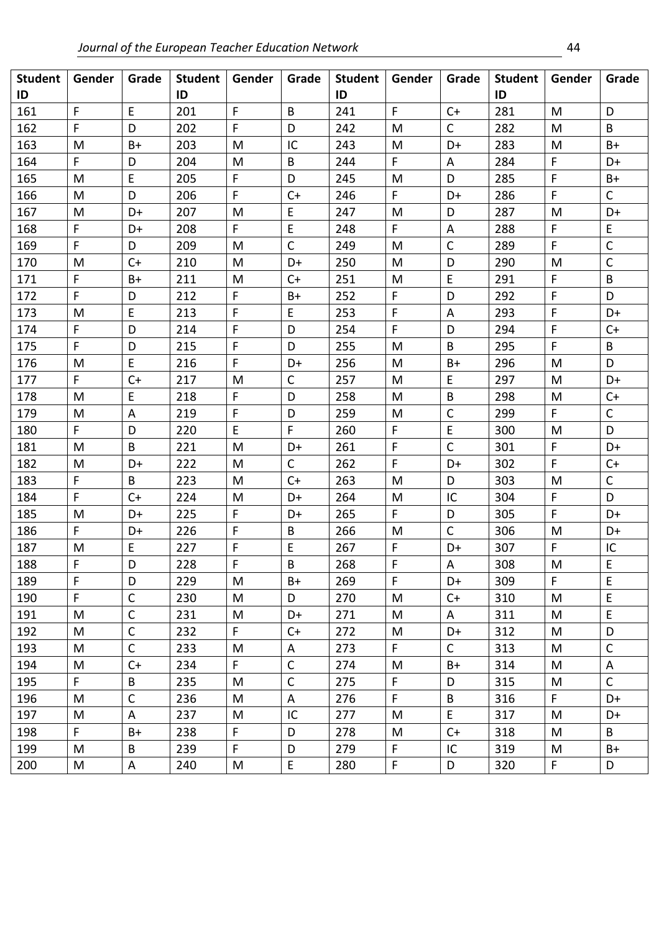| <b>Student</b><br>ID | Gender       | Grade        | <b>Student</b><br>ID | Gender      | Grade        | Student  <br>ID | Gender      | Grade        | <b>Student</b><br>ID | Gender | Grade        |
|----------------------|--------------|--------------|----------------------|-------------|--------------|-----------------|-------------|--------------|----------------------|--------|--------------|
| 161                  | $\mathsf{F}$ | E            | 201                  | F           | $\mathsf{B}$ | 241             | F           | $C+$         | 281                  | M      | D            |
| 162                  | F            | D            | 202                  | F           | D            | 242             | M           | $\mathsf{C}$ | 282                  | M      | B            |
| 163                  | M            | B+           | 203                  | M           | IC           | 243             | M           | D+           | 283                  | M      | $B+$         |
| 164                  | F.           | D            | 204                  | M           | B            | 244             | F           | A            | 284                  | F      | D+           |
| 165                  | M            | E            | 205                  | F           | D            | 245             | M           | D            | 285                  | F      | $B+$         |
| 166                  | M            | D            | 206                  | F           | $C+$         | 246             | F           | D+           | 286                  | F      | $\mathsf{C}$ |
| 167                  | M            | D+           | 207                  | M           | E            | 247             | M           | D            | 287                  | M      | D+           |
| 168                  | F.           | D+           | 208                  | F           | $\mathsf E$  | 248             | F           | A            | 288                  | F      | E            |
| 169                  | F            | D            | 209                  | M           | $\mathsf{C}$ | 249             | M           | $\mathsf{C}$ | 289                  | F      | $\mathsf C$  |
| 170                  | M            | $C+$         | 210                  | M           | D+           | 250             | M           | D            | 290                  | M      | $\mathsf C$  |
| 171                  | F            | $B+$         | 211                  | M           | $C+$         | 251             | M           | E            | 291                  | F      | B            |
| 172                  | F            | D            | 212                  | $\mathsf F$ | $B+$         | 252             | F.          | D            | 292                  | F      | D            |
| 173                  | M            | E            | 213                  | $\mathsf F$ | E            | 253             | F           | A            | 293                  | F      | D+           |
| 174                  | F.           | D            | 214                  | F           | D            | 254             | F           | D            | 294                  | F      | $C+$         |
| 175                  | F            | D            | 215                  | F           | D            | 255             | M           | B            | 295                  | F      | B            |
| 176                  | M            | E            | 216                  | F           | D+           | 256             | M           | B+           | 296                  | M      | D            |
| 177                  | F.           | $C+$         | 217                  | M           | $\mathsf{C}$ | 257             | M           | E            | 297                  | M      | D+           |
| 178                  | M            | E            | 218                  | F           | D            | 258             | M           | B            | 298                  | M      | $C+$         |
| 179                  | M            | A            | 219                  | F           | D            | 259             | M           | $\mathsf C$  | 299                  | F      | $\mathsf{C}$ |
| 180                  | F            | D            | 220                  | E           | F            | 260             | F           | E            | 300                  | M      | D            |
| 181                  | M            | B            | 221                  | M           | D+           | 261             | F           | $\mathsf{C}$ | 301                  | F      | D+           |
| 182                  | M            | D+           | 222                  | M           | $\mathsf{C}$ | 262             | F           | D+           | 302                  | F      | $C+$         |
| 183                  | F            | B            | 223                  | M           | $C+$         | 263             | M           | D            | 303                  | M      | $\mathsf{C}$ |
| 184                  | F            | $C+$         | 224                  | M           | D+           | 264             | M           | IC           | 304                  | F      | D            |
| 185                  | M            | D+           | 225                  | F           | D+           | 265             | F           | D            | 305                  | F      | D+           |
| 186                  | F.           | D+           | 226                  | F           | B            | 266             | M           | $\mathsf{C}$ | 306                  | M      | D+           |
| 187                  | M            | E            | 227                  | F           | E            | 267             | F           | D+           | 307                  | F      | IC           |
| 188                  | $\mathsf F$  | D            | 228                  | F           | $\sf B$      | 268             | F           | $\mathsf A$  | 308                  | M      | E            |
| 189                  | F.           | D            | 229                  | M           | $B+$         | 269             | F           | D+           | 309                  | F.     | $\mathsf E$  |
| 190                  | F            | $\mathsf C$  | 230                  | M           | D            | 270             | M           | $C+$         | 310                  | M      | E            |
| 191                  | M            | $\mathsf C$  | 231                  | M           | D+           | 271             | M           | A            | 311                  | M      | $\mathsf E$  |
| 192                  | M            | $\mathsf C$  | 232                  | F           | $C+$         | 272             | M           | D+           | 312                  | M      | D            |
| 193                  | M            | $\mathsf{C}$ | 233                  | M           | A            | 273             | F           | $\mathsf{C}$ | 313                  | M      | $\mathsf{C}$ |
| 194                  | M            | $C+$         | 234                  | F           | $\mathsf{C}$ | 274             | M           | B+           | 314                  | M      | A            |
| 195                  | F.           | B            | 235                  | M           | $\mathsf{C}$ | 275             | F           | D            | 315                  | M      | $\mathsf{C}$ |
| 196                  | M            | $\mathsf C$  | 236                  | M           | A            | 276             | F           | B            | 316                  | F      | D+           |
| 197                  | M            | A            | 237                  | M           | IC           | 277             | M           | E.           | 317                  | M      | D+           |
| 198                  | F.           | $B+$         | 238                  | F           | D            | 278             | M           | $C+$         | 318                  | M      | B            |
| 199                  | M            | B            | 239                  | $\mathsf F$ | D            | 279             | F           | IC           | 319                  | M      | $B+$         |
| 200                  | M            | A            | 240                  | M           | $\mathsf E$  | 280             | $\mathsf F$ | D            | 320                  | F      | D            |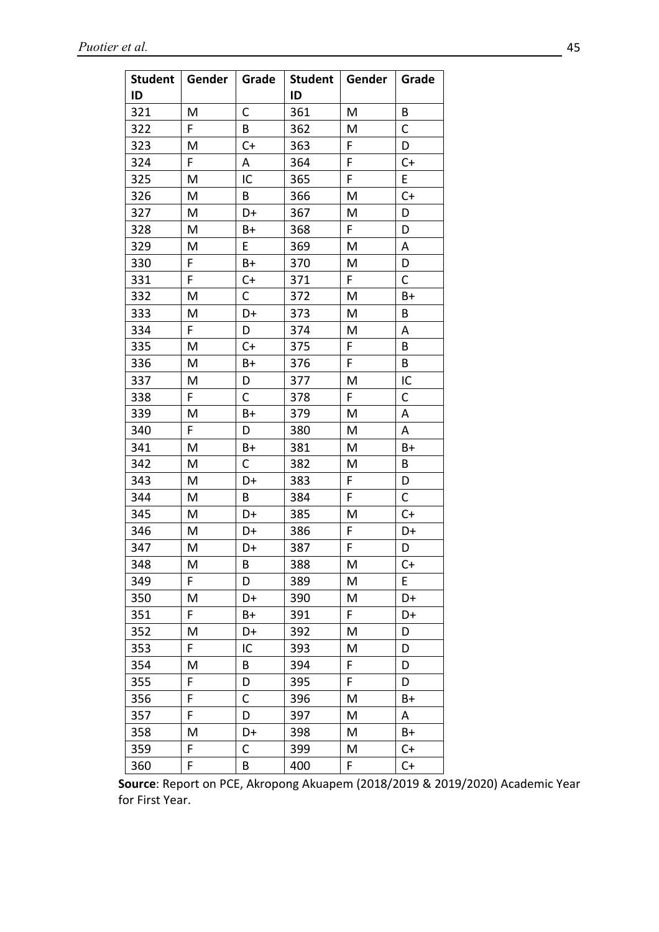| <b>Student</b> | Gender | Grade | Student   Gender |    | Grade        |
|----------------|--------|-------|------------------|----|--------------|
| ID             |        |       | ID               |    |              |
| 321            | M      | C     | 361              | M  | B            |
| 322            | F      | В     | 362              | M  | С            |
| 323            | M      | $C+$  | 363              | F  | D            |
| 324            | F      | Α     | 364              | F  | $C+$         |
| 325            | M      | IC    | 365              | F  | E            |
| 326            | M      | В     | 366              | M  | $C+$         |
| 327            | M      | D+    | 367              | M  | D            |
| 328            | M      | B+    | 368              | F  | D            |
| 329            | M      | E     | 369              | M  | A            |
| 330            | F      | $B+$  | 370              | M  | D            |
| 331            | F      | $C+$  | 371              | F  | $\mathsf{C}$ |
| 332            | M      | C     | 372              | M  | B+           |
| 333            | M      | D+    | 373              | M  | B            |
| 334            | F      | D     | 374              | M  | A            |
| 335            | M      | $C+$  | 375              | F  | В            |
| 336            | M      | B+    | 376              | F  | B            |
| 337            | M      | D     | 377              | M  | IC           |
| 338            | F.     | C     | 378              | F. | C            |
| 339            | M      | B+    | 379              | M  | A            |
| 340            | F      | D     | 380              | M  | A            |
| 341            | M      | B+    | 381              | M  | B+           |
| 342            | M      | C     | 382              | M  | B            |
| 343            | M      | D+    | 383              | F  | D            |
| 344            | M      | B     | 384              | F  | $\mathsf{C}$ |
| 345            | M      | D+    | 385              | M  | $C+$         |
| 346            | M      | D+    | 386              | F  | D+           |
| 347            | M      | D+    | 387              | F  | D            |
| 348            | M      | B     | 388              | M  | $C+$         |
| 349            | F      | D     | 389              | M  | E            |
| 350            | M      | D+    | 390              | M  | D+           |
| 351            | F.     | B+    | 391              | F. | D+           |
| 352            | M      | D+    | 392              | M  | D            |
| 353            | F      | IC    | 393              | M  | D            |
| 354            | M      | В     | 394              | F  | D            |
| 355            | F      | D     | 395              | F  | D            |
| 356            | F      | C     | 396              | M  | B+           |
| 357            | F      | D     | 397              | M  | Α            |
| 358            | M      | D+    | 398              | M  | B+           |
| 359            | F      | С     | 399              | M  | $C+$         |
| 360            | F      | В     | 400              | F  | $C+$         |

**Source**: Report on PCE, Akropong Akuapem (2018/2019 & 2019/2020) Academic Year for First Year.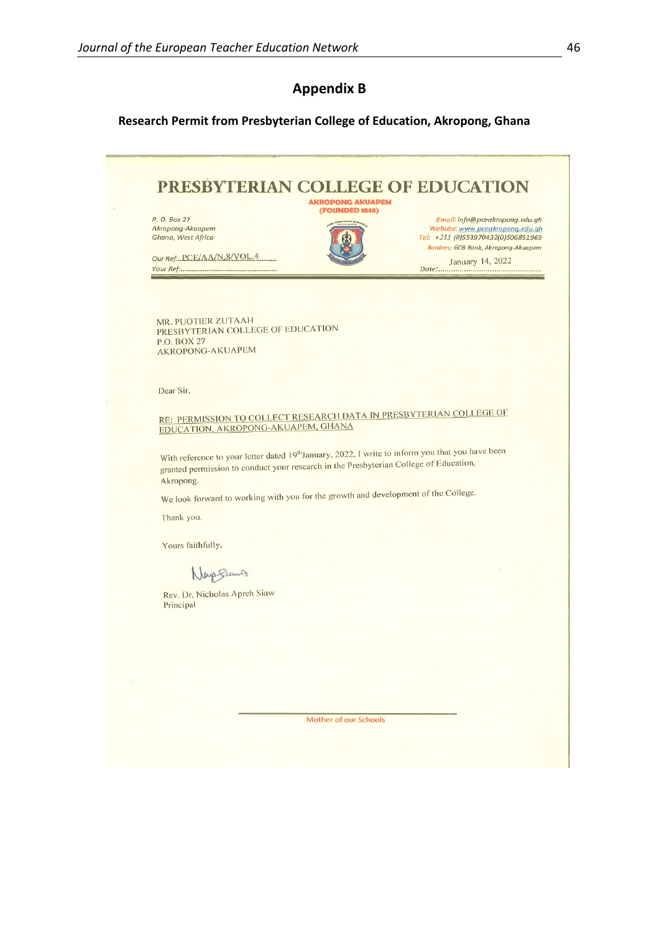# **Appendix B**

### **Research Permit from Presbyterian College of Education, Akropong, Ghana**

| P. O. Box 27<br>Akropong-Akuapem<br>Ghana, West Africa<br>Our Ref. PCE/AA/N 8/VOL.4                                                                                                                                | <b>(FOUNDED 1848)</b> | Email: info@pceakropong.edu.gh<br>Website: www.pceakropong.edu.gh<br>Tel: +233 (0)553970432(0)506851969<br>Bankers: GCB Bank, Akropong-Akuapem<br>January 14, 2022 |
|--------------------------------------------------------------------------------------------------------------------------------------------------------------------------------------------------------------------|-----------------------|--------------------------------------------------------------------------------------------------------------------------------------------------------------------|
|                                                                                                                                                                                                                    |                       |                                                                                                                                                                    |
| MR. PUOTIER ZUTAAH<br>PRESBYTERIAN COLLEGE OF EDUCATION                                                                                                                                                            |                       |                                                                                                                                                                    |
| P.O. BOX 27<br><b>AKROPONG-AKUAPEM</b>                                                                                                                                                                             |                       |                                                                                                                                                                    |
|                                                                                                                                                                                                                    |                       |                                                                                                                                                                    |
| Dear Sir,                                                                                                                                                                                                          |                       |                                                                                                                                                                    |
| RE: PERMISSION TO COLLECT RESEARCH DATA IN PRESBYTERIAN COLLEGE OF<br>EDUCATION, AKROPONG-AKUAPEM, GHANA                                                                                                           |                       |                                                                                                                                                                    |
| With reference to your letter dated 19 <sup>th</sup> January, 2022, I write to inform you that you have been<br>granted permission to conduct your research in the Presbyterian College of Education,<br>Akropong. |                       |                                                                                                                                                                    |
| We look forward to working with you for the growth and development of the College.                                                                                                                                 |                       |                                                                                                                                                                    |
| Thank you.                                                                                                                                                                                                         |                       |                                                                                                                                                                    |
| Yours faithfully,                                                                                                                                                                                                  |                       |                                                                                                                                                                    |
| Nays Stand                                                                                                                                                                                                         |                       |                                                                                                                                                                    |
| Rev. Dr. Nicholas Apreh Siaw                                                                                                                                                                                       |                       |                                                                                                                                                                    |
| Principal                                                                                                                                                                                                          |                       |                                                                                                                                                                    |
|                                                                                                                                                                                                                    |                       |                                                                                                                                                                    |
|                                                                                                                                                                                                                    |                       |                                                                                                                                                                    |
|                                                                                                                                                                                                                    |                       |                                                                                                                                                                    |
|                                                                                                                                                                                                                    |                       |                                                                                                                                                                    |